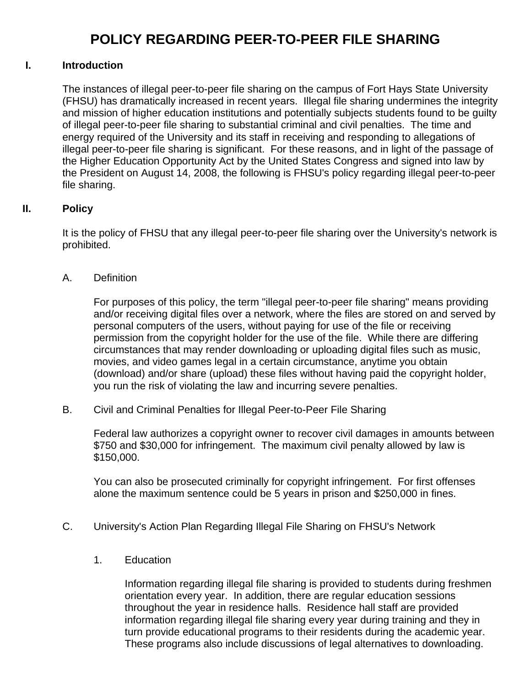## **POLICY REGARDING PEER-TO-PEER FILE SHARING**

## **I. Introduction**

The instances of illegal peer-to-peer file sharing on the campus of Fort Hays State University (FHSU) has dramatically increased in recent years. Illegal file sharing undermines the integrity and mission of higher education institutions and potentially subjects students found to be guilty of illegal peer-to-peer file sharing to substantial criminal and civil penalties. The time and energy required of the University and its staff in receiving and responding to allegations of illegal peer-to-peer file sharing is significant. For these reasons, and in light of the passage of the Higher Education Opportunity Act by the United States Congress and signed into law by the President on August 14, 2008, the following is FHSU's policy regarding illegal peer-to-peer file sharing.

## **II. Policy**

It is the policy of FHSU that any illegal peer-to-peer file sharing over the University's network is prohibited.

A. Definition

For purposes of this policy, the term "illegal peer-to-peer file sharing" means providing and/or receiving digital files over a network, where the files are stored on and served by personal computers of the users, without paying for use of the file or receiving permission from the copyright holder for the use of the file. While there are differing circumstances that may render downloading or uploading digital files such as music, movies, and video games legal in a certain circumstance, anytime you obtain (download) and/or share (upload) these files without having paid the copyright holder, you run the risk of violating the law and incurring severe penalties.

B. Civil and Criminal Penalties for Illegal Peer-to-Peer File Sharing

Federal law authorizes a copyright owner to recover civil damages in amounts between \$750 and \$30,000 for infringement. The maximum civil penalty allowed by law is \$150,000.

You can also be prosecuted criminally for copyright infringement. For first offenses alone the maximum sentence could be 5 years in prison and \$250,000 in fines.

- C. University's Action Plan Regarding Illegal File Sharing on FHSU's Network
	- 1. Education

Information regarding illegal file sharing is provided to students during freshmen orientation every year. In addition, there are regular education sessions throughout the year in residence halls. Residence hall staff are provided information regarding illegal file sharing every year during training and they in turn provide educational programs to their residents during the academic year. These programs also include discussions of legal alternatives to downloading.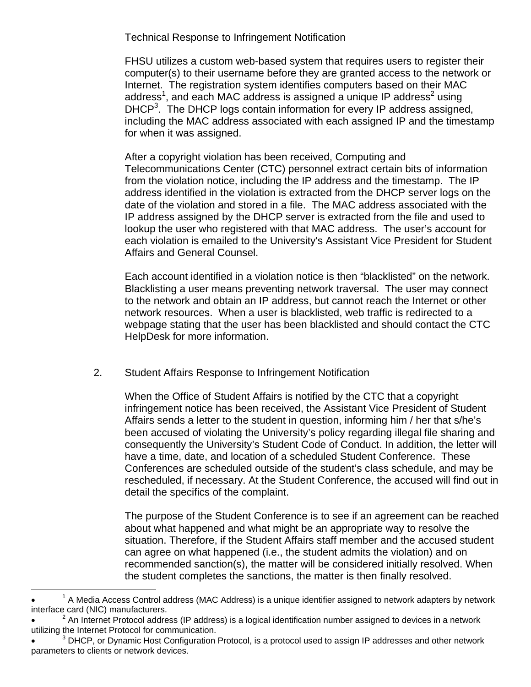Technical Response to Infringement Notification

FHSU utilizes a custom web-based system that requires users to register their computer(s) to their username before they are granted access to the network or Internet. The registration system identifies computers based on their MAC address<sup>1</sup>, and each MAC address is assigned a unique IP address<sup>2</sup> using DHCP<sup>3</sup>. The DHCP logs contain information for every IP address assigned, including the MAC address associated with each assigned IP and the timestamp for when it was assigned.

After a copyright violation has been received, Computing and Telecommunications Center (CTC) personnel extract certain bits of information from the violation notice, including the IP address and the timestamp. The IP address identified in the violation is extracted from the DHCP server logs on the date of the violation and stored in a file. The MAC address associated with the IP address assigned by the DHCP server is extracted from the file and used to lookup the user who registered with that MAC address. The user's account for each violation is emailed to the University's Assistant Vice President for Student Affairs and General Counsel.

Each account identified in a violation notice is then "blacklisted" on the network. Blacklisting a user means preventing network traversal. The user may connect to the network and obtain an IP address, but cannot reach the Internet or other network resources. When a user is blacklisted, web traffic is redirected to a webpage stating that the user has been blacklisted and should contact the CTC HelpDesk for more information.

2. Student Affairs Response to Infringement Notification

When the Office of Student Affairs is notified by the CTC that a copyright infringement notice has been received, the Assistant Vice President of Student Affairs sends a letter to the student in question, informing him / her that s/he's been accused of violating the University's policy regarding illegal file sharing and consequently the University's Student Code of Conduct. In addition, the letter will have a time, date, and location of a scheduled Student Conference. These Conferences are scheduled outside of the student's class schedule, and may be rescheduled, if necessary. At the Student Conference, the accused will find out in detail the specifics of the complaint.

The purpose of the Student Conference is to see if an agreement can be reached about what happened and what might be an appropriate way to resolve the situation. Therefore, if the Student Affairs staff member and the accused student can agree on what happened (i.e., the student admits the violation) and on recommended sanction(s), the matter will be considered initially resolved. When the student completes the sanctions, the matter is then finally resolved.

 $\overline{a}$ 

 $\bullet$   $\qquad$   $\frac{1}{1}$  $^1$  A Media Access Control address (MAC Address) is a unique identifier assigned to network adapters by network interface card (NIC) manufacturers.

 $\bullet$  <sup>2</sup> An Internet Protocol address (IP address) is a logical identification number assigned to devices in a network utilizing the Internet Protocol for communication.

<sup>• &</sup>lt;sup>3</sup> DHCP, or Dynamic Host Configuration Protocol, is a protocol used to assign IP addresses and other network parameters to clients or network devices.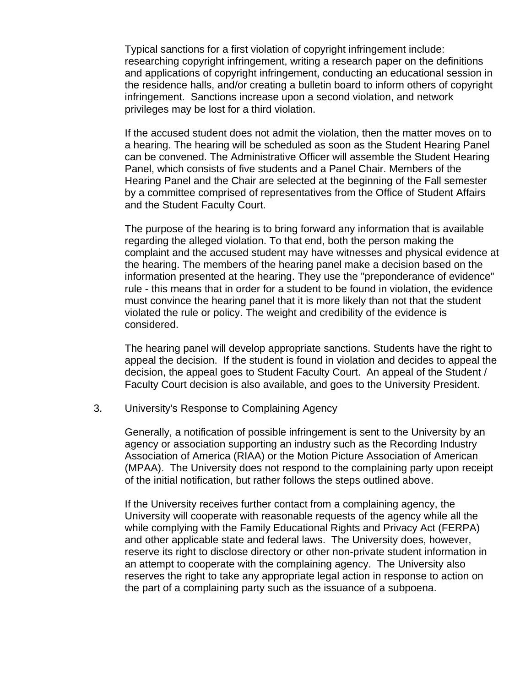Typical sanctions for a first violation of copyright infringement include: researching copyright infringement, writing a research paper on the definitions and applications of copyright infringement, conducting an educational session in the residence halls, and/or creating a bulletin board to inform others of copyright infringement. Sanctions increase upon a second violation, and network privileges may be lost for a third violation.

If the accused student does not admit the violation, then the matter moves on to a hearing. The hearing will be scheduled as soon as the Student Hearing Panel can be convened. The Administrative Officer will assemble the Student Hearing Panel, which consists of five students and a Panel Chair. Members of the Hearing Panel and the Chair are selected at the beginning of the Fall semester by a committee comprised of representatives from the Office of Student Affairs and the Student Faculty Court.

The purpose of the hearing is to bring forward any information that is available regarding the alleged violation. To that end, both the person making the complaint and the accused student may have witnesses and physical evidence at the hearing. The members of the hearing panel make a decision based on the information presented at the hearing. They use the "preponderance of evidence" rule - this means that in order for a student to be found in violation, the evidence must convince the hearing panel that it is more likely than not that the student violated the rule or policy. The weight and credibility of the evidence is considered.

The hearing panel will develop appropriate sanctions. Students have the right to appeal the decision. If the student is found in violation and decides to appeal the decision, the appeal goes to Student Faculty Court. An appeal of the Student / Faculty Court decision is also available, and goes to the University President.

3. University's Response to Complaining Agency

Generally, a notification of possible infringement is sent to the University by an agency or association supporting an industry such as the Recording Industry Association of America (RIAA) or the Motion Picture Association of American (MPAA). The University does not respond to the complaining party upon receipt of the initial notification, but rather follows the steps outlined above.

If the University receives further contact from a complaining agency, the University will cooperate with reasonable requests of the agency while all the while complying with the Family Educational Rights and Privacy Act (FERPA) and other applicable state and federal laws. The University does, however, reserve its right to disclose directory or other non-private student information in an attempt to cooperate with the complaining agency. The University also reserves the right to take any appropriate legal action in response to action on the part of a complaining party such as the issuance of a subpoena.